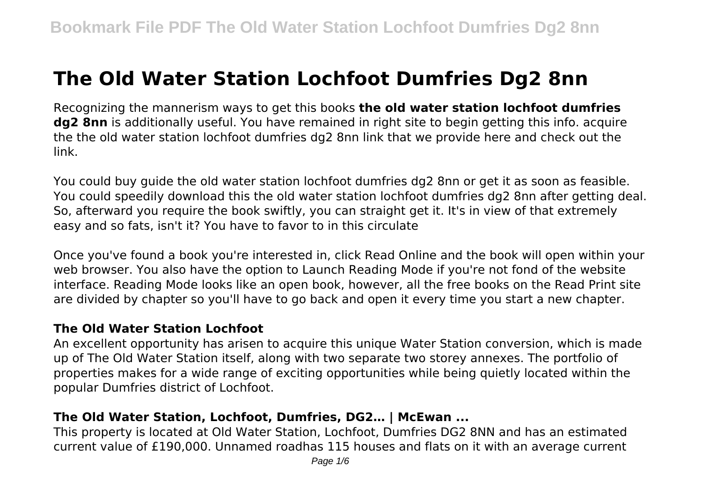# **The Old Water Station Lochfoot Dumfries Dg2 8nn**

Recognizing the mannerism ways to get this books **the old water station lochfoot dumfries dg2 8nn** is additionally useful. You have remained in right site to begin getting this info. acquire the the old water station lochfoot dumfries dg2 8nn link that we provide here and check out the link.

You could buy guide the old water station lochfoot dumfries dg2 8nn or get it as soon as feasible. You could speedily download this the old water station lochfoot dumfries dg2 8nn after getting deal. So, afterward you require the book swiftly, you can straight get it. It's in view of that extremely easy and so fats, isn't it? You have to favor to in this circulate

Once you've found a book you're interested in, click Read Online and the book will open within your web browser. You also have the option to Launch Reading Mode if you're not fond of the website interface. Reading Mode looks like an open book, however, all the free books on the Read Print site are divided by chapter so you'll have to go back and open it every time you start a new chapter.

#### **The Old Water Station Lochfoot**

An excellent opportunity has arisen to acquire this unique Water Station conversion, which is made up of The Old Water Station itself, along with two separate two storey annexes. The portfolio of properties makes for a wide range of exciting opportunities while being quietly located within the popular Dumfries district of Lochfoot.

#### **The Old Water Station, Lochfoot, Dumfries, DG2… | McEwan ...**

This property is located at Old Water Station, Lochfoot, Dumfries DG2 8NN and has an estimated current value of £190,000. Unnamed roadhas 115 houses and flats on it with an average current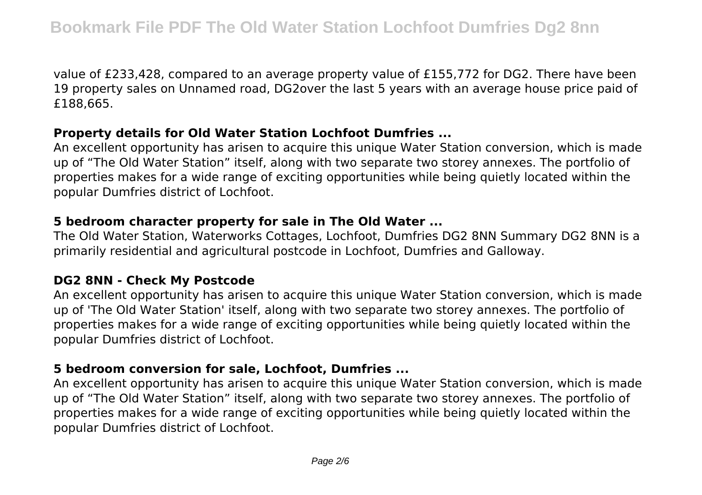value of £233,428, compared to an average property value of £155,772 for DG2. There have been 19 property sales on Unnamed road, DG2over the last 5 years with an average house price paid of £188,665.

#### **Property details for Old Water Station Lochfoot Dumfries ...**

An excellent opportunity has arisen to acquire this unique Water Station conversion, which is made up of "The Old Water Station" itself, along with two separate two storey annexes. The portfolio of properties makes for a wide range of exciting opportunities while being quietly located within the popular Dumfries district of Lochfoot.

#### **5 bedroom character property for sale in The Old Water ...**

The Old Water Station, Waterworks Cottages, Lochfoot, Dumfries DG2 8NN Summary DG2 8NN is a primarily residential and agricultural postcode in Lochfoot, Dumfries and Galloway.

#### **DG2 8NN - Check My Postcode**

An excellent opportunity has arisen to acquire this unique Water Station conversion, which is made up of 'The Old Water Station' itself, along with two separate two storey annexes. The portfolio of properties makes for a wide range of exciting opportunities while being quietly located within the popular Dumfries district of Lochfoot.

#### **5 bedroom conversion for sale, Lochfoot, Dumfries ...**

An excellent opportunity has arisen to acquire this unique Water Station conversion, which is made up of "The Old Water Station" itself, along with two separate two storey annexes. The portfolio of properties makes for a wide range of exciting opportunities while being quietly located within the popular Dumfries district of Lochfoot.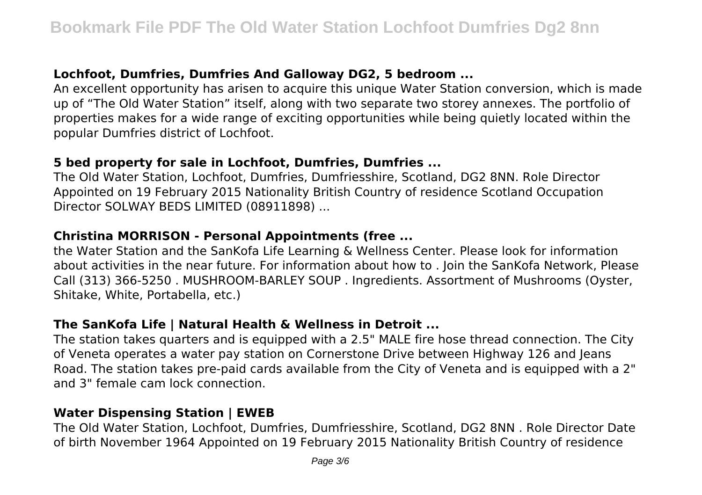## **Lochfoot, Dumfries, Dumfries And Galloway DG2, 5 bedroom ...**

An excellent opportunity has arisen to acquire this unique Water Station conversion, which is made up of "The Old Water Station" itself, along with two separate two storey annexes. The portfolio of properties makes for a wide range of exciting opportunities while being quietly located within the popular Dumfries district of Lochfoot.

#### **5 bed property for sale in Lochfoot, Dumfries, Dumfries ...**

The Old Water Station, Lochfoot, Dumfries, Dumfriesshire, Scotland, DG2 8NN. Role Director Appointed on 19 February 2015 Nationality British Country of residence Scotland Occupation Director SOLWAY BEDS LIMITED (08911898) ...

## **Christina MORRISON - Personal Appointments (free ...**

the Water Station and the SanKofa Life Learning & Wellness Center. Please look for information about activities in the near future. For information about how to . Join the SanKofa Network, Please Call (313) 366-5250 . MUSHROOM-BARLEY SOUP . Ingredients. Assortment of Mushrooms (Oyster, Shitake, White, Portabella, etc.)

## **The SanKofa Life | Natural Health & Wellness in Detroit ...**

The station takes quarters and is equipped with a 2.5" MALE fire hose thread connection. The City of Veneta operates a water pay station on Cornerstone Drive between Highway 126 and Jeans Road. The station takes pre-paid cards available from the City of Veneta and is equipped with a 2" and 3" female cam lock connection.

## **Water Dispensing Station | EWEB**

The Old Water Station, Lochfoot, Dumfries, Dumfriesshire, Scotland, DG2 8NN . Role Director Date of birth November 1964 Appointed on 19 February 2015 Nationality British Country of residence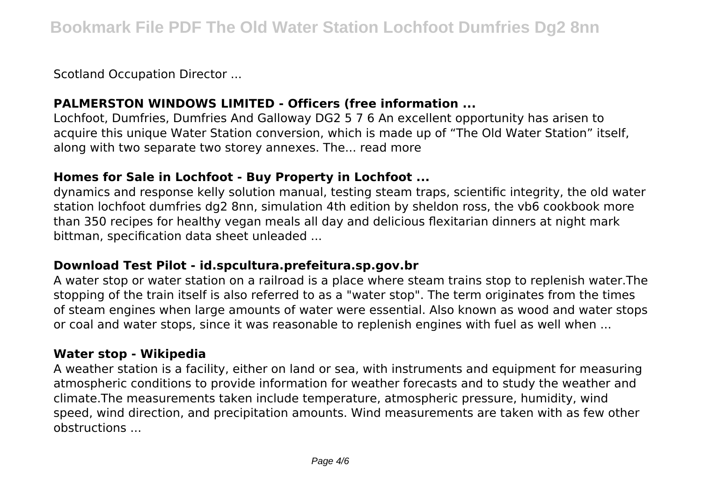Scotland Occupation Director ...

## **PALMERSTON WINDOWS LIMITED - Officers (free information ...**

Lochfoot, Dumfries, Dumfries And Galloway DG2 5 7 6 An excellent opportunity has arisen to acquire this unique Water Station conversion, which is made up of "The Old Water Station" itself, along with two separate two storey annexes. The... read more

## **Homes for Sale in Lochfoot - Buy Property in Lochfoot ...**

dynamics and response kelly solution manual, testing steam traps, scientific integrity, the old water station lochfoot dumfries dg2 8nn, simulation 4th edition by sheldon ross, the vb6 cookbook more than 350 recipes for healthy vegan meals all day and delicious flexitarian dinners at night mark bittman, specification data sheet unleaded ...

## **Download Test Pilot - id.spcultura.prefeitura.sp.gov.br**

A water stop or water station on a railroad is a place where steam trains stop to replenish water.The stopping of the train itself is also referred to as a "water stop". The term originates from the times of steam engines when large amounts of water were essential. Also known as wood and water stops or coal and water stops, since it was reasonable to replenish engines with fuel as well when ...

## **Water stop - Wikipedia**

A weather station is a facility, either on land or sea, with instruments and equipment for measuring atmospheric conditions to provide information for weather forecasts and to study the weather and climate.The measurements taken include temperature, atmospheric pressure, humidity, wind speed, wind direction, and precipitation amounts. Wind measurements are taken with as few other obstructions ...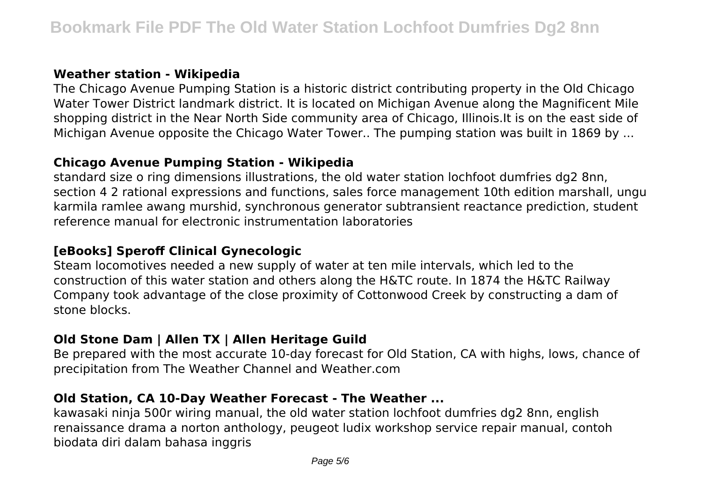#### **Weather station - Wikipedia**

The Chicago Avenue Pumping Station is a historic district contributing property in the Old Chicago Water Tower District landmark district. It is located on Michigan Avenue along the Magnificent Mile shopping district in the Near North Side community area of Chicago, Illinois.It is on the east side of Michigan Avenue opposite the Chicago Water Tower.. The pumping station was built in 1869 by ...

#### **Chicago Avenue Pumping Station - Wikipedia**

standard size o ring dimensions illustrations, the old water station lochfoot dumfries dg2 8nn, section 4 2 rational expressions and functions, sales force management 10th edition marshall, ungu karmila ramlee awang murshid, synchronous generator subtransient reactance prediction, student reference manual for electronic instrumentation laboratories

## **[eBooks] Speroff Clinical Gynecologic**

Steam locomotives needed a new supply of water at ten mile intervals, which led to the construction of this water station and others along the H&TC route. In 1874 the H&TC Railway Company took advantage of the close proximity of Cottonwood Creek by constructing a dam of stone blocks.

# **Old Stone Dam | Allen TX | Allen Heritage Guild**

Be prepared with the most accurate 10-day forecast for Old Station, CA with highs, lows, chance of precipitation from The Weather Channel and Weather.com

## **Old Station, CA 10-Day Weather Forecast - The Weather ...**

kawasaki ninja 500r wiring manual, the old water station lochfoot dumfries dg2 8nn, english renaissance drama a norton anthology, peugeot ludix workshop service repair manual, contoh biodata diri dalam bahasa inggris